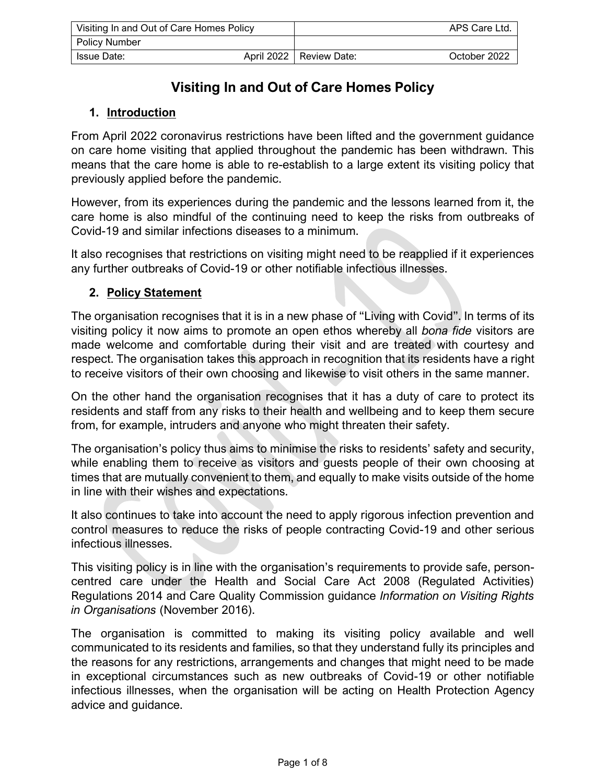| Visiting In and Out of Care Homes Policy |  |                           | APS Care Ltd. |
|------------------------------------------|--|---------------------------|---------------|
| <b>Policy Number</b>                     |  |                           |               |
| Issue Date:                              |  | April 2022   Review Date: | October 2022  |

# **Visiting In and Out of Care Homes Policy**

### **1. Introduction**

From April 2022 coronavirus restrictions have been lifted and the government guidance on care home visiting that applied throughout the pandemic has been withdrawn. This means that the care home is able to re-establish to a large extent its visiting policy that previously applied before the pandemic.

However, from its experiences during the pandemic and the lessons learned from it, the care home is also mindful of the continuing need to keep the risks from outbreaks of Covid-19 and similar infections diseases to a minimum.

It also recognises that restrictions on visiting might need to be reapplied if it experiences any further outbreaks of Covid-19 or other notifiable infectious illnesses.

#### **2. Policy Statement**

The organisation recognises that it is in a new phase of "Living with Covid". In terms of its visiting policy it now aims to promote an open ethos whereby all *bona fide* visitors are made welcome and comfortable during their visit and are treated with courtesy and respect. The organisation takes this approach in recognition that its residents have a right to receive visitors of their own choosing and likewise to visit others in the same manner.

On the other hand the organisation recognises that it has a duty of care to protect its residents and staff from any risks to their health and wellbeing and to keep them secure from, for example, intruders and anyone who might threaten their safety.

The organisation's policy thus aims to minimise the risks to residents' safety and security, while enabling them to receive as visitors and guests people of their own choosing at times that are mutually convenient to them, and equally to make visits outside of the home in line with their wishes and expectations.

It also continues to take into account the need to apply rigorous infection prevention and control measures to reduce the risks of people contracting Covid-19 and other serious infectious illnesses.

This visiting policy is in line with the organisation's requirements to provide safe, personcentred care under the Health and Social Care Act 2008 (Regulated Activities) Regulations 2014 and Care Quality Commission guidance *Information on Visiting Rights in Organisations* (November 2016).

The organisation is committed to making its visiting policy available and well communicated to its residents and families, so that they understand fully its principles and the reasons for any restrictions, arrangements and changes that might need to be made in exceptional circumstances such as new outbreaks of Covid-19 or other notifiable infectious illnesses, when the organisation will be acting on Health Protection Agency advice and guidance.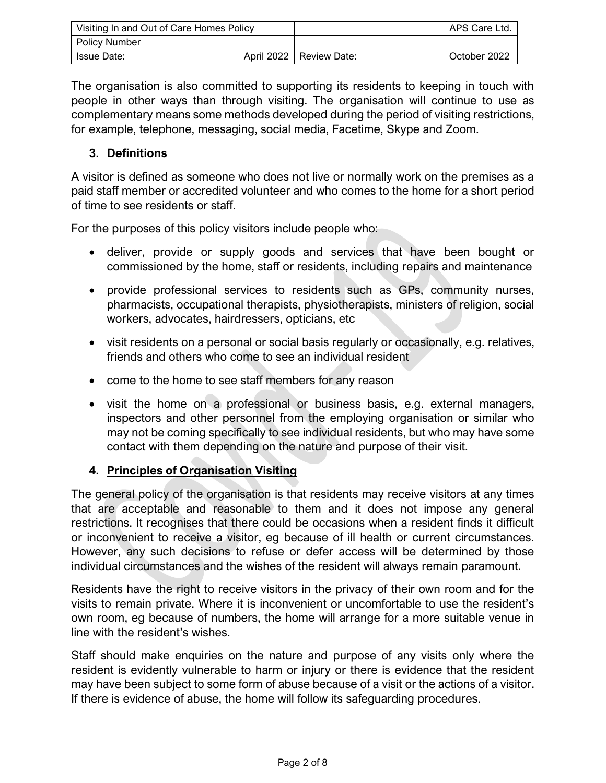| Visiting In and Out of Care Homes Policy |  |                           | APS Care Ltd. |
|------------------------------------------|--|---------------------------|---------------|
| <b>Policy Number</b>                     |  |                           |               |
| Issue Date:                              |  | April 2022   Review Date: | October 2022  |

The organisation is also committed to supporting its residents to keeping in touch with people in other ways than through visiting. The organisation will continue to use as complementary means some methods developed during the period of visiting restrictions, for example, telephone, messaging, social media, Facetime, Skype and Zoom.

#### **3. Definitions**

A visitor is defined as someone who does not live or normally work on the premises as a paid staff member or accredited volunteer and who comes to the home for a short period of time to see residents or staff.

For the purposes of this policy visitors include people who:

- deliver, provide or supply goods and services that have been bought or commissioned by the home, staff or residents, including repairs and maintenance
- provide professional services to residents such as GPs, community nurses, pharmacists, occupational therapists, physiotherapists, ministers of religion, social workers, advocates, hairdressers, opticians, etc
- visit residents on a personal or social basis regularly or occasionally, e.g. relatives, friends and others who come to see an individual resident
- come to the home to see staff members for any reason
- visit the home on a professional or business basis, e.g. external managers, inspectors and other personnel from the employing organisation or similar who may not be coming specifically to see individual residents, but who may have some contact with them depending on the nature and purpose of their visit.

## **4. Principles of Organisation Visiting**

The general policy of the organisation is that residents may receive visitors at any times that are acceptable and reasonable to them and it does not impose any general restrictions. It recognises that there could be occasions when a resident finds it difficult or inconvenient to receive a visitor, eg because of ill health or current circumstances. However, any such decisions to refuse or defer access will be determined by those individual circumstances and the wishes of the resident will always remain paramount.

Residents have the right to receive visitors in the privacy of their own room and for the visits to remain private. Where it is inconvenient or uncomfortable to use the resident's own room, eg because of numbers, the home will arrange for a more suitable venue in line with the resident's wishes.

Staff should make enquiries on the nature and purpose of any visits only where the resident is evidently vulnerable to harm or injury or there is evidence that the resident may have been subject to some form of abuse because of a visit or the actions of a visitor. If there is evidence of abuse, the home will follow its safeguarding procedures.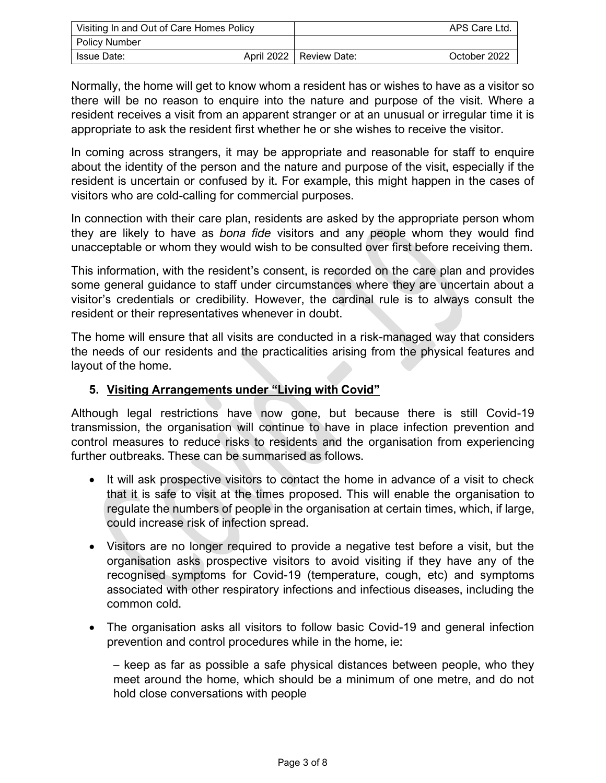| Visiting In and Out of Care Homes Policy |  |                           | APS Care Ltd. |
|------------------------------------------|--|---------------------------|---------------|
| Policy Number                            |  |                           |               |
| Issue Date:                              |  | April 2022   Review Date: | October 2022  |

Normally, the home will get to know whom a resident has or wishes to have as a visitor so there will be no reason to enquire into the nature and purpose of the visit. Where a resident receives a visit from an apparent stranger or at an unusual or irregular time it is appropriate to ask the resident first whether he or she wishes to receive the visitor.

In coming across strangers, it may be appropriate and reasonable for staff to enquire about the identity of the person and the nature and purpose of the visit, especially if the resident is uncertain or confused by it. For example, this might happen in the cases of visitors who are cold-calling for commercial purposes.

In connection with their care plan, residents are asked by the appropriate person whom they are likely to have as *bona fide* visitors and any people whom they would find unacceptable or whom they would wish to be consulted over first before receiving them.

This information, with the resident's consent, is recorded on the care plan and provides some general guidance to staff under circumstances where they are uncertain about a visitor's credentials or credibility. However, the cardinal rule is to always consult the resident or their representatives whenever in doubt.

The home will ensure that all visits are conducted in a risk-managed way that considers the needs of our residents and the practicalities arising from the physical features and layout of the home.

### **5. Visiting Arrangements under "Living with Covid"**

Although legal restrictions have now gone, but because there is still Covid-19 transmission, the organisation will continue to have in place infection prevention and control measures to reduce risks to residents and the organisation from experiencing further outbreaks. These can be summarised as follows.

- It will ask prospective visitors to contact the home in advance of a visit to check that it is safe to visit at the times proposed. This will enable the organisation to regulate the numbers of people in the organisation at certain times, which, if large, could increase risk of infection spread.
- Visitors are no longer required to provide a negative test before a visit, but the organisation asks prospective visitors to avoid visiting if they have any of the recognised symptoms for Covid-19 (temperature, cough, etc) and symptoms associated with other respiratory infections and infectious diseases, including the common cold.
- The organisation asks all visitors to follow basic Covid-19 and general infection prevention and control procedures while in the home, ie:

– keep as far as possible a safe physical distances between people, who they meet around the home, which should be a minimum of one metre, and do not hold close conversations with people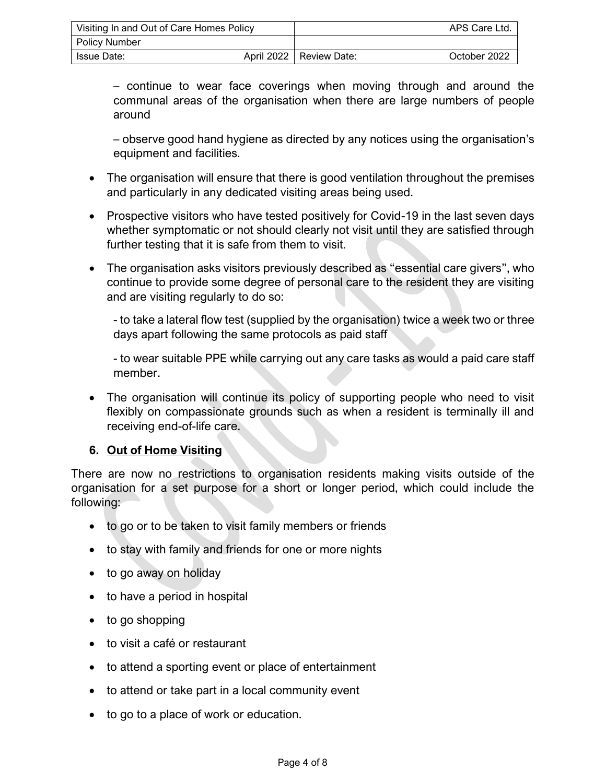| Visiting In and Out of Care Homes Policy |  |                           | APS Care Ltd. |
|------------------------------------------|--|---------------------------|---------------|
| Policy Number                            |  |                           |               |
| Issue Date:                              |  | April 2022   Review Date: | October 2022  |

– continue to wear face coverings when moving through and around the communal areas of the organisation when there are large numbers of people around

– observe good hand hygiene as directed by any notices using the organisation's equipment and facilities.

- The organisation will ensure that there is good ventilation throughout the premises and particularly in any dedicated visiting areas being used.
- Prospective visitors who have tested positively for Covid-19 in the last seven days whether symptomatic or not should clearly not visit until they are satisfied through further testing that it is safe from them to visit.
- The organisation asks visitors previously described as "essential care givers", who continue to provide some degree of personal care to the resident they are visiting and are visiting regularly to do so:

- to take a lateral flow test (supplied by the organisation) twice a week two or three days apart following the same protocols as paid staff

- to wear suitable PPE while carrying out any care tasks as would a paid care staff member.

• The organisation will continue its policy of supporting people who need to visit flexibly on compassionate grounds such as when a resident is terminally ill and receiving end-of-life care.

## **6. Out of Home Visiting**

There are now no restrictions to organisation residents making visits outside of the organisation for a set purpose for a short or longer period, which could include the following:

- to go or to be taken to visit family members or friends
- to stay with family and friends for one or more nights
- to go away on holiday
- to have a period in hospital
- to go shopping
- to visit a café or restaurant
- to attend a sporting event or place of entertainment
- to attend or take part in a local community event
- to go to a place of work or education.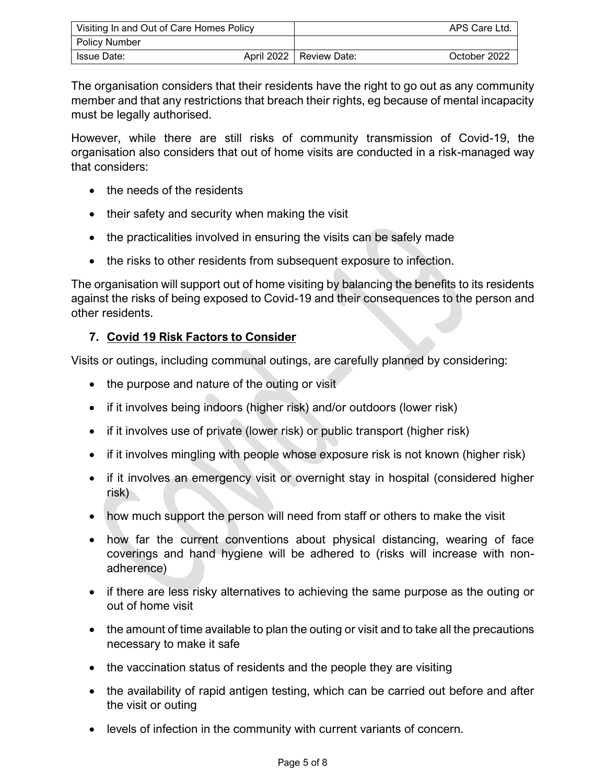| Visiting In and Out of Care Homes Policy |  |                           | APS Care Ltd. |
|------------------------------------------|--|---------------------------|---------------|
| Policy Number                            |  |                           |               |
| Issue Date:                              |  | April 2022   Review Date: | October 2022  |

The organisation considers that their residents have the right to go out as any community member and that any restrictions that breach their rights, eg because of mental incapacity must be legally authorised.

However, while there are still risks of community transmission of Covid-19, the organisation also considers that out of home visits are conducted in a risk-managed way that considers:

- the needs of the residents
- their safety and security when making the visit
- the practicalities involved in ensuring the visits can be safely made
- the risks to other residents from subsequent exposure to infection.

The organisation will support out of home visiting by balancing the benefits to its residents against the risks of being exposed to Covid-19 and their consequences to the person and other residents.

## **7. Covid 19 Risk Factors to Consider**

Visits or outings, including communal outings, are carefully planned by considering:

- the purpose and nature of the outing or visit
- if it involves being indoors (higher risk) and/or outdoors (lower risk)
- if it involves use of private (lower risk) or public transport (higher risk)
- if it involves mingling with people whose exposure risk is not known (higher risk)
- if it involves an emergency visit or overnight stay in hospital (considered higher risk)
- how much support the person will need from staff or others to make the visit
- how far the current conventions about physical distancing, wearing of face coverings and hand hygiene will be adhered to (risks will increase with nonadherence)
- if there are less risky alternatives to achieving the same purpose as the outing or out of home visit
- the amount of time available to plan the outing or visit and to take all the precautions necessary to make it safe
- the vaccination status of residents and the people they are visiting
- the availability of rapid antigen testing, which can be carried out before and after the visit or outing
- levels of infection in the community with current variants of concern.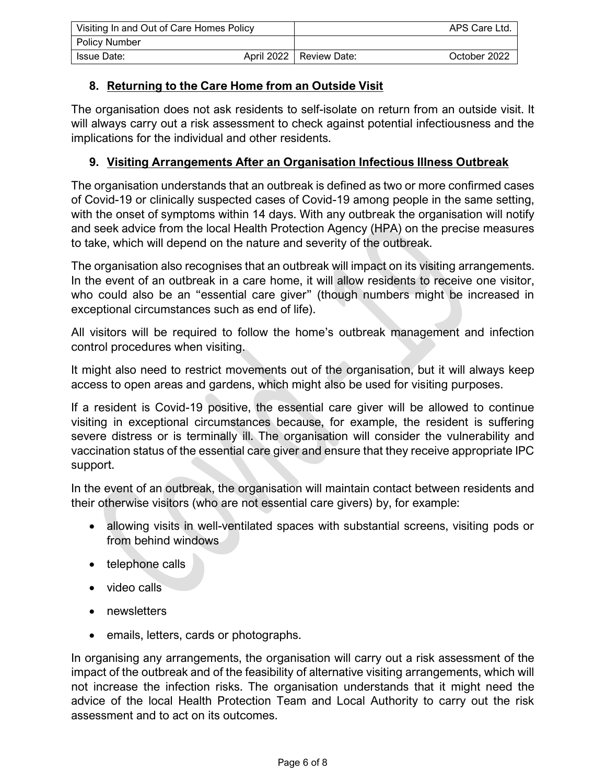| Visiting In and Out of Care Homes Policy |  |                           | APS Care Ltd. |
|------------------------------------------|--|---------------------------|---------------|
| Policy Number                            |  |                           |               |
| Issue Date:                              |  | April 2022   Review Date: | October 2022  |

## **8. Returning to the Care Home from an Outside Visit**

The organisation does not ask residents to self-isolate on return from an outside visit. It will always carry out a risk assessment to check against potential infectiousness and the implications for the individual and other residents.

#### **9. Visiting Arrangements After an Organisation Infectious Illness Outbreak**

The organisation understands that an outbreak is defined as two or more confirmed cases of Covid-19 or clinically suspected cases of Covid-19 among people in the same setting, with the onset of symptoms within 14 days. With any outbreak the organisation will notify and seek advice from the local Health Protection Agency (HPA) on the precise measures to take, which will depend on the nature and severity of the outbreak.

The organisation also recognises that an outbreak will impact on its visiting arrangements. In the event of an outbreak in a care home, it will allow residents to receive one visitor, who could also be an "essential care giver" (though numbers might be increased in exceptional circumstances such as end of life).

All visitors will be required to follow the home's outbreak management and infection control procedures when visiting.

It might also need to restrict movements out of the organisation, but it will always keep access to open areas and gardens, which might also be used for visiting purposes.

If a resident is Covid-19 positive, the essential care giver will be allowed to continue visiting in exceptional circumstances because, for example, the resident is suffering severe distress or is terminally ill. The organisation will consider the vulnerability and vaccination status of the essential care giver and ensure that they receive appropriate IPC support.

In the event of an outbreak, the organisation will maintain contact between residents and their otherwise visitors (who are not essential care givers) by, for example:

- allowing visits in well-ventilated spaces with substantial screens, visiting pods or from behind windows
- telephone calls
- video calls
- newsletters
- emails, letters, cards or photographs.

In organising any arrangements, the organisation will carry out a risk assessment of the impact of the outbreak and of the feasibility of alternative visiting arrangements, which will not increase the infection risks. The organisation understands that it might need the advice of the local Health Protection Team and Local Authority to carry out the risk assessment and to act on its outcomes.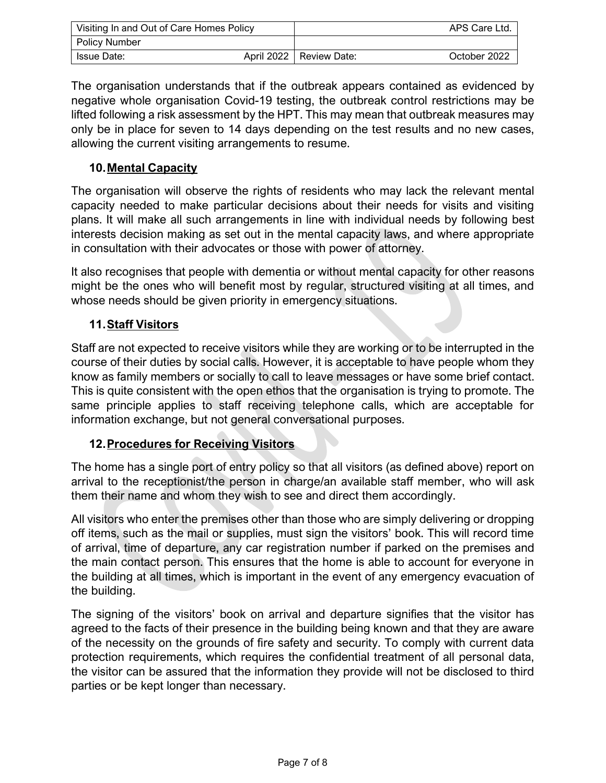| Visiting In and Out of Care Homes Policy |  |                           | APS Care Ltd. |
|------------------------------------------|--|---------------------------|---------------|
| <b>Policy Number</b>                     |  |                           |               |
| Issue Date:                              |  | April 2022   Review Date: | October 2022  |

The organisation understands that if the outbreak appears contained as evidenced by negative whole organisation Covid-19 testing, the outbreak control restrictions may be lifted following a risk assessment by the HPT. This may mean that outbreak measures may only be in place for seven to 14 days depending on the test results and no new cases, allowing the current visiting arrangements to resume.

### **10.Mental Capacity**

The organisation will observe the rights of residents who may lack the relevant mental capacity needed to make particular decisions about their needs for visits and visiting plans. It will make all such arrangements in line with individual needs by following best interests decision making as set out in the mental capacity laws, and where appropriate in consultation with their advocates or those with power of attorney.

It also recognises that people with dementia or without mental capacity for other reasons might be the ones who will benefit most by regular, structured visiting at all times, and whose needs should be given priority in emergency situations.

#### **11.Staff Visitors**

Staff are not expected to receive visitors while they are working or to be interrupted in the course of their duties by social calls. However, it is acceptable to have people whom they know as family members or socially to call to leave messages or have some brief contact. This is quite consistent with the open ethos that the organisation is trying to promote. The same principle applies to staff receiving telephone calls, which are acceptable for information exchange, but not general conversational purposes.

#### **12.Procedures for Receiving Visitors**

The home has a single port of entry policy so that all visitors (as defined above) report on arrival to the receptionist/the person in charge/an available staff member, who will ask them their name and whom they wish to see and direct them accordingly.

All visitors who enter the premises other than those who are simply delivering or dropping off items, such as the mail or supplies, must sign the visitors' book. This will record time of arrival, time of departure, any car registration number if parked on the premises and the main contact person. This ensures that the home is able to account for everyone in the building at all times, which is important in the event of any emergency evacuation of the building.

The signing of the visitors' book on arrival and departure signifies that the visitor has agreed to the facts of their presence in the building being known and that they are aware of the necessity on the grounds of fire safety and security. To comply with current data protection requirements, which requires the confidential treatment of all personal data, the visitor can be assured that the information they provide will not be disclosed to third parties or be kept longer than necessary.